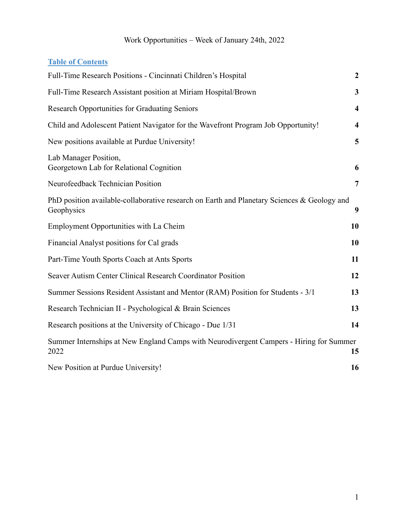### **Table of Contents**

| Full-Time Research Positions - Cincinnati Children's Hospital                                             | $\boldsymbol{2}$        |
|-----------------------------------------------------------------------------------------------------------|-------------------------|
| Full-Time Research Assistant position at Miriam Hospital/Brown                                            | $\overline{\mathbf{3}}$ |
| <b>Research Opportunities for Graduating Seniors</b>                                                      | $\overline{\mathbf{4}}$ |
| Child and Adolescent Patient Navigator for the Wavefront Program Job Opportunity!                         | $\overline{\mathbf{4}}$ |
| New positions available at Purdue University!                                                             | 5                       |
| Lab Manager Position,<br>Georgetown Lab for Relational Cognition                                          | 6                       |
| Neurofeedback Technician Position                                                                         | $\overline{7}$          |
| PhD position available-collaborative research on Earth and Planetary Sciences & Geology and<br>Geophysics | 9                       |
| Employment Opportunities with La Cheim                                                                    | 10                      |
| Financial Analyst positions for Cal grads                                                                 | 10                      |
| Part-Time Youth Sports Coach at Ants Sports                                                               | 11                      |
| Seaver Autism Center Clinical Research Coordinator Position                                               | 12                      |
| Summer Sessions Resident Assistant and Mentor (RAM) Position for Students - 3/1                           | 13                      |
| Research Technician II - Psychological & Brain Sciences                                                   | 13                      |
| Research positions at the University of Chicago - Due 1/31                                                | 14                      |
| Summer Internships at New England Camps with Neurodivergent Campers - Hiring for Summer<br>2022           | 15                      |
| New Position at Purdue University!                                                                        | 16                      |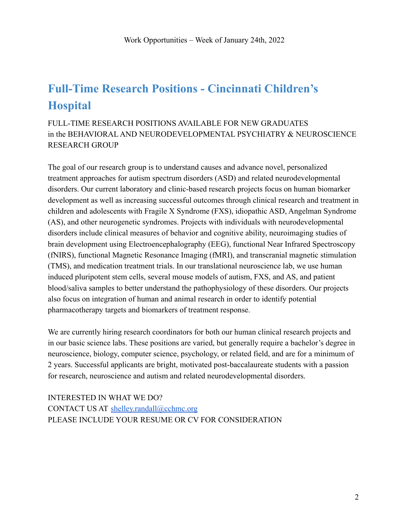# <span id="page-1-0"></span>**Full-Time Research Positions - Cincinnati Children's Hospital**

FULL-TIME RESEARCH POSITIONS AVAILABLE FOR NEW GRADUATES in the BEHAVIORAL AND NEURODEVELOPMENTAL PSYCHIATRY & NEUROSCIENCE RESEARCH GROUP

The goal of our research group is to understand causes and advance novel, personalized treatment approaches for autism spectrum disorders (ASD) and related neurodevelopmental disorders. Our current laboratory and clinic-based research projects focus on human biomarker development as well as increasing successful outcomes through clinical research and treatment in children and adolescents with Fragile X Syndrome (FXS), idiopathic ASD, Angelman Syndrome (AS), and other neurogenetic syndromes. Projects with individuals with neurodevelopmental disorders include clinical measures of behavior and cognitive ability, neuroimaging studies of brain development using Electroencephalography (EEG), functional Near Infrared Spectroscopy (fNIRS), functional Magnetic Resonance Imaging (fMRI), and transcranial magnetic stimulation (TMS), and medication treatment trials. In our translational neuroscience lab, we use human induced pluripotent stem cells, several mouse models of autism, FXS, and AS, and patient blood/saliva samples to better understand the pathophysiology of these disorders. Our projects also focus on integration of human and animal research in order to identify potential pharmacotherapy targets and biomarkers of treatment response.

We are currently hiring research coordinators for both our human clinical research projects and in our basic science labs. These positions are varied, but generally require a bachelor's degree in neuroscience, biology, computer science, psychology, or related field, and are for a minimum of 2 years. Successful applicants are bright, motivated post-baccalaureate students with a passion for research, neuroscience and autism and related neurodevelopmental disorders.

INTERESTED IN WHAT WE DO? CONTACT US AT [shelley.randall@cchmc.org](mailto:shelley.randall@cchmc.org) PLEASE INCLUDE YOUR RESUME OR CV FOR CONSIDERATION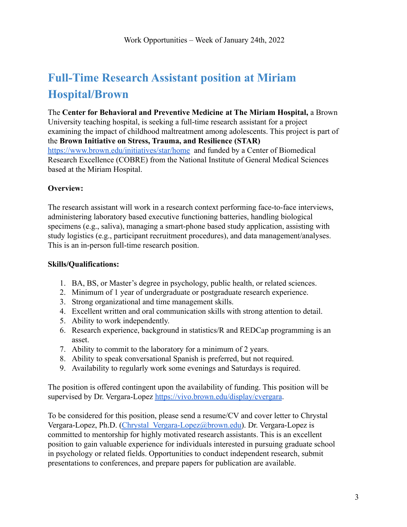# <span id="page-2-0"></span>**Full-Time Research Assistant position at Miriam Hospital/Brown**

The **Center for Behavioral and Preventive Medicine at The Miriam Hospital,** a Brown University teaching hospital, is seeking a full-time research assistant for a project examining the impact of childhood maltreatment among adolescents. This project is part of the **Brown Initiative on Stress, Trauma, and Resilience (STAR)** <https://www.brown.edu/initiatives/star/home> and funded by a Center of Biomedical Research Excellence (COBRE) from the National Institute of General Medical Sciences based at the Miriam Hospital.

#### **Overview:**

The research assistant will work in a research context performing face-to-face interviews, administering laboratory based executive functioning batteries, handling biological specimens (e.g., saliva), managing a smart-phone based study application, assisting with study logistics (e.g., participant recruitment procedures), and data management/analyses. This is an in-person full-time research position.

#### **Skills/Qualifications:**

- 1. BA, BS, or Master's degree in psychology, public health, or related sciences.
- 2. Minimum of 1 year of undergraduate or postgraduate research experience.
- 3. Strong organizational and time management skills.
- 4. Excellent written and oral communication skills with strong attention to detail.
- 5. Ability to work independently.
- 6. Research experience, background in statistics/R and REDCap programming is an asset.
- 7. Ability to commit to the laboratory for a minimum of 2 years.
- 8. Ability to speak conversational Spanish is preferred, but not required.
- 9. Availability to regularly work some evenings and Saturdays is required.

The position is offered contingent upon the availability of funding. This position will be supervised by Dr. Vergara-Lopez <https://vivo.brown.edu/display/cvergara>.

To be considered for this position, please send a resume/CV and cover letter to Chrystal Vergara-Lopez, Ph.D. [\(Chrystal\\_Vergara-Lopez@brown.edu](mailto:Chrystal_Vergara-Lopez@brown.edu)). Dr. Vergara-Lopez is committed to mentorship for highly motivated research assistants. This is an excellent position to gain valuable experience for individuals interested in pursuing graduate school in psychology or related fields. Opportunities to conduct independent research, submit presentations to conferences, and prepare papers for publication are available.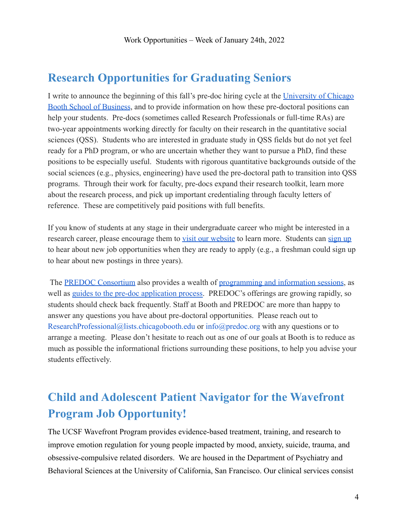### <span id="page-3-0"></span>**Research Opportunities for Graduating Seniors**

I write to announce the beginning of this fall's pre-doc hiring cycle at the [University of Chicago](https://www.chicagobooth.edu/faculty/research-staff) [Booth School of Business](https://www.chicagobooth.edu/faculty/research-staff), and to provide information on how these pre-doctoral positions can help your students. Pre-docs (sometimes called Research Professionals or full-time RAs) are two-year appointments working directly for faculty on their research in the quantitative social sciences (QSS). Students who are interested in graduate study in QSS fields but do not yet feel ready for a PhD program, or who are uncertain whether they want to pursue a PhD, find these positions to be especially useful. Students with rigorous quantitative backgrounds outside of the social sciences (e.g., physics, engineering) have used the pre-doctoral path to transition into QSS programs. Through their work for faculty, pre-docs expand their research toolkit, learn more about the research process, and pick up important credentialing through faculty letters of reference. These are competitively paid positions with full benefits.

If you know of students at any stage in their undergraduate career who might be interested in a research career, please encourage them to [visit our](https://www.chicagobooth.edu/faculty/research-staff) website to learn more. Students can [sign up](https://www.chicagobooth.edu/faculty/research-staff/join-our-team) to hear about new job opportunities when they are ready to apply (e.g., a freshman could sign up to hear about new postings in three years).

The [PREDOC Consortium](https://predoc.org/) also provides a wealth of programming [and information sessions](https://predoc.org/events), as well as [guides to the pre-doc application process.](https://predoc.org/learn-more) PREDOC's offerings are growing rapidly, so students should check back frequently. Staff at Booth and PREDOC are more than happy to answer any questions you have about pre-doctoral opportunities. Please reach out to ResearchProfessional@lists.chicagobooth.edu or info@predoc.org with any questions or to arrange a meeting. Please don't hesitate to reach out as one of our goals at Booth is to reduce as much as possible the informational frictions surrounding these positions, to help you advise your students effectively.

# <span id="page-3-1"></span>**Child and Adolescent Patient Navigator for the Wavefront Program Job Opportunity!**

The UCSF Wavefront Program provides evidence-based treatment, training, and research to improve emotion regulation for young people impacted by mood, anxiety, suicide, trauma, and obsessive-compulsive related disorders. We are housed in the Department of Psychiatry and Behavioral Sciences at the University of California, San Francisco. Our clinical services consist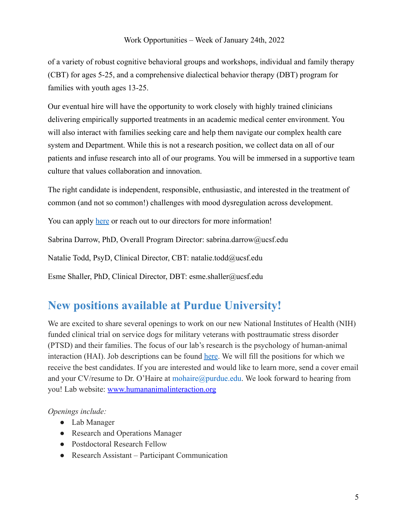of a variety of robust cognitive behavioral groups and workshops, individual and family therapy (CBT) for ages 5-25, and a comprehensive dialectical behavior therapy (DBT) program for families with youth ages 13-25.

Our eventual hire will have the opportunity to work closely with highly trained clinicians delivering empirically supported treatments in an academic medical center environment. You will also interact with families seeking care and help them navigate our complex health care system and Department. While this is not a research position, we collect data on all of our patients and infuse research into all of our programs. You will be immersed in a supportive team culture that values collaboration and innovation.

The right candidate is independent, responsible, enthusiastic, and interested in the treatment of common (and not so common!) challenges with mood dysregulation across development.

You can apply [here](https://sjobs.brassring.com/TGnewUI/Search/home/HomeWithPreLoad?PageType=JobDetails&partnerid=6495&siteid=5861&jobid=3224189#jobDetails=3224189_5861) or reach out to our directors for more information!

Sabrina Darrow, PhD, Overall Program Director: sabrina.darrow@ucsf.edu

Natalie Todd, PsyD, Clinical Director, CBT: natalie.todd@ucsf.edu

Esme Shaller, PhD, Clinical Director, DBT: esme.shaller@ucsf.edu

### <span id="page-4-0"></span>**New positions available at Purdue University!**

We are excited to share several openings to work on our new National Institutes of Health (NIH) funded clinical trial on service dogs for military veterans with posttraumatic stress disorder (PTSD) and their families. The focus of our lab's research is the psychology of human-animal interaction (HAI). Job descriptions can be found [here.](https://vet.purdue.edu/chab/ohaire/opportunities.php) We will fill the positions for which we receive the best candidates. If you are interested and would like to learn more, send a cover email and your CV/resume to Dr. O'Haire at mohaire@purdue.edu. We look forward to hearing from you! Lab website: [www.humananimalinteraction.org](http://www.humananimalinteraction.org/)

*Openings include:*

- Lab Manager
- Research and Operations Manager
- Postdoctoral Research Fellow
- Research Assistant Participant Communication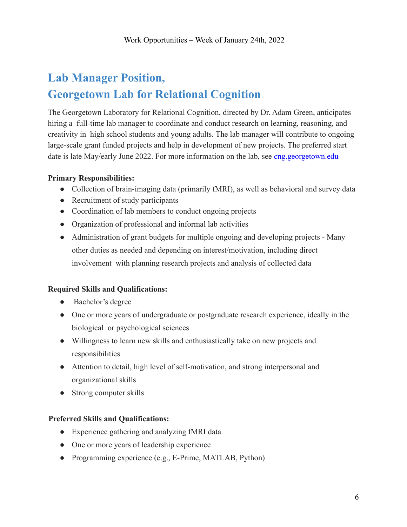# <span id="page-5-0"></span>**Lab Manager Position, Georgetown Lab for Relational Cognition**

The Georgetown Laboratory for Relational Cognition, directed by Dr. Adam Green, anticipates hiring a full-time lab manager to coordinate and conduct research on learning, reasoning, and creativity in high school students and young adults. The lab manager will contribute to ongoing large-scale grant funded projects and help in development of new projects. The preferred start date is late May/early June 2022. For more information on the lab, see cng georgetown.edu

#### **Primary Responsibilities:**

- Collection of brain-imaging data (primarily fMRI), as well as behavioral and survey data
- Recruitment of study participants
- Coordination of lab members to conduct ongoing projects
- Organization of professional and informal lab activities
- Administration of grant budgets for multiple ongoing and developing projects Many other duties as needed and depending on interest/motivation, including direct involvement with planning research projects and analysis of collected data

#### **Required Skills and Qualifications:**

- Bachelor's degree
- One or more years of undergraduate or postgraduate research experience, ideally in the biological or psychological sciences
- Willingness to learn new skills and enthusiastically take on new projects and responsibilities
- Attention to detail, high level of self-motivation, and strong interpersonal and organizational skills
- Strong computer skills

#### **Preferred Skills and Qualifications:**

- Experience gathering and analyzing fMRI data
- One or more years of leadership experience
- Programming experience (e.g., E-Prime, MATLAB, Python)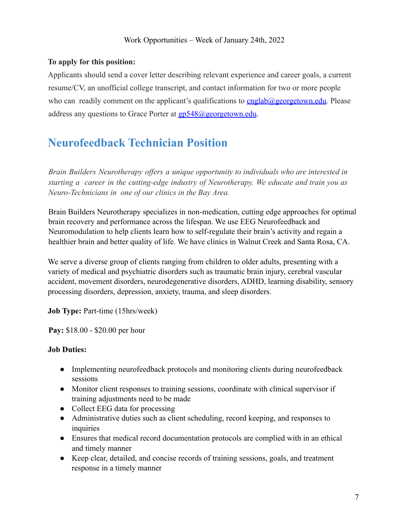#### **To apply for this position:**

Applicants should send a cover letter describing relevant experience and career goals, a current resume/CV, an unofficial college transcript, and contact information for two or more people who can readily comment on the applicant's qualifications to  $cnglab@georgetown.edu$ . Please address any questions to Grace Porter at gp548@georgetown.edu.

## <span id="page-6-0"></span>**Neurofeedback Technician Position**

*Brain Builders Neurotherapy offers a unique opportunity to individuals who are interested in starting a career in the cutting-edge industry of Neurotherapy. We educate and train you as Neuro-Technicians in one of our clinics in the Bay Area.*

Brain Builders Neurotherapy specializes in non-medication, cutting edge approaches for optimal brain recovery and performance across the lifespan. We use EEG Neurofeedback and Neuromodulation to help clients learn how to self-regulate their brain's activity and regain a healthier brain and better quality of life. We have clinics in Walnut Creek and Santa Rosa, CA.

We serve a diverse group of clients ranging from children to older adults, presenting with a variety of medical and psychiatric disorders such as traumatic brain injury, cerebral vascular accident, movement disorders, neurodegenerative disorders, ADHD, learning disability, sensory processing disorders, depression, anxiety, trauma, and sleep disorders.

**Job Type:** Part-time (15hrs/week)

**Pay:** \$18.00 - \$20.00 per hour

#### **Job Duties:**

- Implementing neurofeedback protocols and monitoring clients during neurofeedback sessions
- Monitor client responses to training sessions, coordinate with clinical supervisor if training adjustments need to be made
- Collect EEG data for processing
- Administrative duties such as client scheduling, record keeping, and responses to inquiries
- Ensures that medical record documentation protocols are complied with in an ethical and timely manner
- Keep clear, detailed, and concise records of training sessions, goals, and treatment response in a timely manner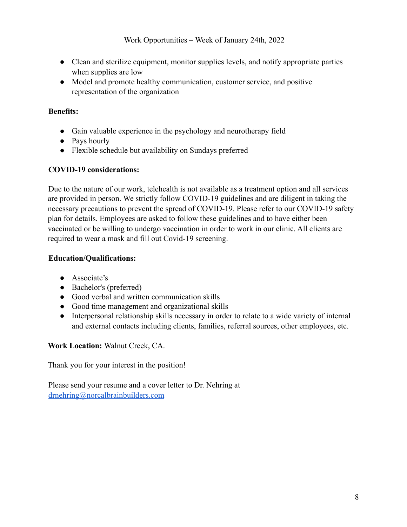- Clean and sterilize equipment, monitor supplies levels, and notify appropriate parties when supplies are low
- Model and promote healthy communication, customer service, and positive representation of the organization

#### **Benefits:**

- Gain valuable experience in the psychology and neurotherapy field
- Pays hourly
- Flexible schedule but availability on Sundays preferred

#### **COVID-19 considerations:**

Due to the nature of our work, telehealth is not available as a treatment option and all services are provided in person. We strictly follow COVID-19 guidelines and are diligent in taking the necessary precautions to prevent the spread of COVID-19. Please refer to our COVID-19 safety plan for details. Employees are asked to follow these guidelines and to have either been vaccinated or be willing to undergo vaccination in order to work in our clinic. All clients are required to wear a mask and fill out Covid-19 screening.

#### **Education/Qualifications:**

- Associate's
- Bachelor's (preferred)
- Good verbal and written communication skills
- Good time management and organizational skills
- Interpersonal relationship skills necessary in order to relate to a wide variety of internal and external contacts including clients, families, referral sources, other employees, etc.

#### **Work Location:** Walnut Creek, CA.

Thank you for your interest in the position!

Please send your resume and a cover letter to Dr. Nehring at [drnehring@norcalbrainbuilders.com](mailto:drnehring@norcalbrainbuilders.com)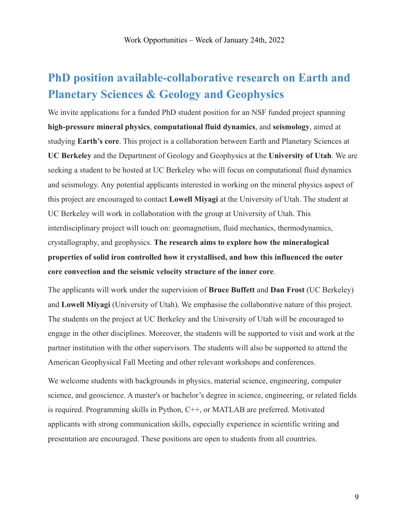## <span id="page-8-0"></span>**PhD position available-collaborative research on Earth and Planetary Sciences & Geology and Geophysics**

We invite applications for a funded PhD student position for an NSF funded project spanning **high-pressure mineral physics**, **computational fluid dynamics**, and **seismology**, aimed at studying **Earth's core**. This project is a collaboration between Earth and Planetary Sciences at **UC Berkeley** and the Department of Geology and Geophysics at the **University of Utah**. We are seeking a student to be hosted at UC Berkeley who will focus on computational fluid dynamics and seismology. Any potential applicants interested in working on the mineral physics aspect of this project are encouraged to contact **Lowell Miyagi** at the University of Utah. The student at UC Berkeley will work in collaboration with the group at University of Utah. This interdisciplinary project will touch on: geomagnetism, fluid mechanics, thermodynamics, crystallography, and geophysics. **The research aims to explore how the mineralogical properties of solid iron controlled how it crystallised, and how this influenced the outer core convection and the seismic velocity structure of the inner core**.

The applicants will work under the supervision of **Bruce Buffett** and **Dan Frost** (UC Berkeley) and **Lowell Miyagi** (University of Utah). We emphasise the collaborative nature of this project. The students on the project at UC Berkeley and the University of Utah will be encouraged to engage in the other disciplines. Moreover, the students will be supported to visit and work at the partner institution with the other supervisors. The students will also be supported to attend the American Geophysical Fall Meeting and other relevant workshops and conferences.

We welcome students with backgrounds in physics, material science, engineering, computer science, and geoscience. A master's or bachelor's degree in science, engineering, or related fields is required. Programming skills in Python, C++, or MATLAB are preferred. Motivated applicants with strong communication skills, especially experience in scientific writing and presentation are encouraged. These positions are open to students from all countries.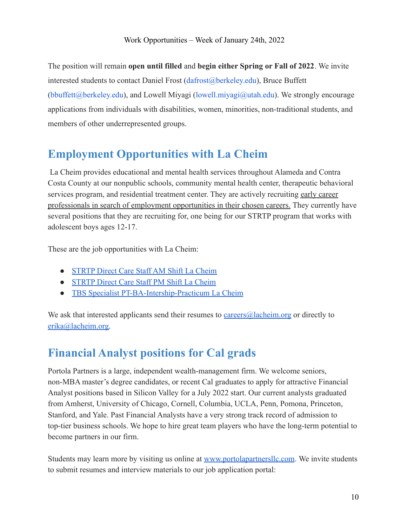The position will remain **open until filled** and **begin either Spring or Fall of 2022**. We invite interested students to contact Daniel Frost (dafrost@berkeley.edu), Bruce Buffett (bbuffett@berkeley.edu), and Lowell Miyagi (lowell.miyagi@utah.edu). We strongly encourage applications from individuals with disabilities, women, minorities, non-traditional students, and members of other underrepresented groups.

## <span id="page-9-0"></span>**Employment Opportunities with La Cheim**

La Cheim provides educational and mental health services throughout Alameda and Contra Costa County at our nonpublic schools, community mental health center, therapeutic behavioral services program, and residential treatment center. They are actively recruiting early career professionals in search of employment opportunities in their chosen careers. They currently have several positions that they are recruiting for, one being for our STRTP program that works with adolescent boys ages 12-17.

These are the job opportunities with La Cheim:

- [STRTP Direct Care Staff AM Shift La Cheim](https://drive.google.com/file/d/1CTtZ9C9uM2gZKdXsUxbSDfJ-a6KUjZvJ/view?usp=sharing)
- [STRTP Direct Care Staff PM Shift La Cheim](https://drive.google.com/file/d/1UzEs8zW81SNRs_ZoOrF-nDNeyi-Q8Kxx/view?usp=sharing)
- [TBS Specialist PT-BA-Intership-Practicum La Cheim](https://drive.google.com/file/d/17SnY9dBP-sb2noR1Z1KhYIcMtZflK5cX/view?usp=sharing)

We ask that interested applicants send their resumes to [careers@lacheim.org](mailto:careers@lacheim.org) or directly to [erika@lacheim.org.](mailto:erika@lacheim.org)

# <span id="page-9-1"></span>**Financial Analyst positions for Cal grads**

Portola Partners is a large, independent wealth-management firm. We welcome seniors, non-MBA master's degree candidates, or recent Cal graduates to apply for attractive Financial Analyst positions based in Silicon Valley for a July 2022 start. Our current analysts graduated from Amherst, University of Chicago, Cornell, Columbia, UCLA, Penn, Pomona, Princeton, Stanford, and Yale. Past Financial Analysts have a very strong track record of admission to top-tier business schools. We hope to hire great team players who have the long-term potential to become partners in our firm.

Students may learn more by visiting us online at [www.portolapartnersllc.com](http://www.portolapartnersllc.com/). We invite students to submit resumes and interview materials to our job application portal: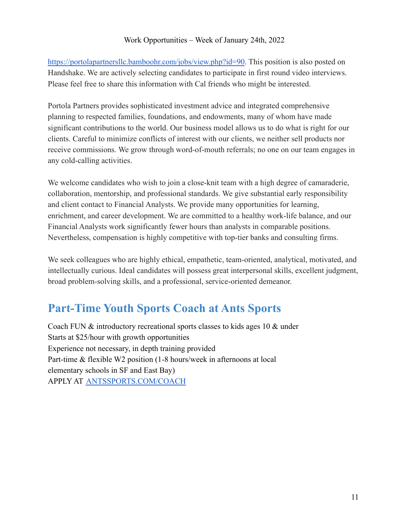<https://portolapartnersllc.bamboohr.com/jobs/view.php?id=90>. This position is also posted on Handshake. We are actively selecting candidates to participate in first round video interviews. Please feel free to share this information with Cal friends who might be interested.

Portola Partners provides sophisticated investment advice and integrated comprehensive planning to respected families, foundations, and endowments, many of whom have made significant contributions to the world. Our business model allows us to do what is right for our clients. Careful to minimize conflicts of interest with our clients, we neither sell products nor receive commissions. We grow through word-of-mouth referrals; no one on our team engages in any cold-calling activities.

We welcome candidates who wish to join a close-knit team with a high degree of camaraderie, collaboration, mentorship, and professional standards. We give substantial early responsibility and client contact to Financial Analysts. We provide many opportunities for learning, enrichment, and career development. We are committed to a healthy work-life balance, and our Financial Analysts work significantly fewer hours than analysts in comparable positions. Nevertheless, compensation is highly competitive with top-tier banks and consulting firms.

We seek colleagues who are highly ethical, empathetic, team-oriented, analytical, motivated, and intellectually curious. Ideal candidates will possess great interpersonal skills, excellent judgment, broad problem-solving skills, and a professional, service-oriented demeanor.

## <span id="page-10-0"></span>**Part-Time Youth Sports Coach at Ants Sports**

Coach FUN & introductory recreational sports classes to kids ages 10 & under Starts at \$25/hour with growth opportunities Experience not necessary, in depth training provided Part-time & flexible W2 position (1-8 hours/week in afternoons at local elementary schools in SF and East Bay) APPLY AT [ANTSSPORTS.COM/COACH](http://antssports.com/COACH)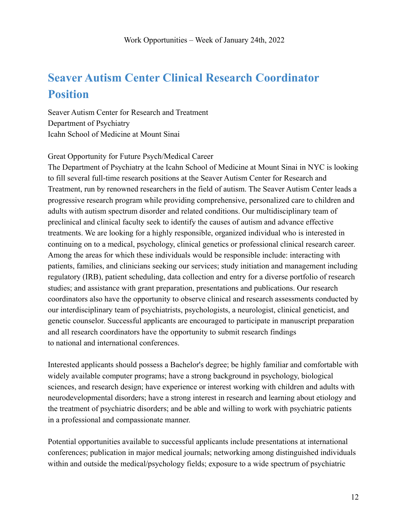# <span id="page-11-0"></span>**Seaver Autism Center Clinical Research Coordinator Position**

Seaver Autism Center for Research and Treatment Department of Psychiatry Icahn School of Medicine at Mount Sinai

Great Opportunity for Future Psych/Medical Career

The Department of Psychiatry at the Icahn School of Medicine at Mount Sinai in NYC is looking to fill several full-time research positions at the Seaver Autism Center for Research and Treatment, run by renowned researchers in the field of autism. The Seaver Autism Center leads a progressive research program while providing comprehensive, personalized care to children and adults with autism spectrum disorder and related conditions. Our multidisciplinary team of preclinical and clinical faculty seek to identify the causes of autism and advance effective treatments. We are looking for a highly responsible, organized individual who is interested in continuing on to a medical, psychology, clinical genetics or professional clinical research career. Among the areas for which these individuals would be responsible include: interacting with patients, families, and clinicians seeking our services; study initiation and management including regulatory (IRB), patient scheduling, data collection and entry for a diverse portfolio of research studies; and assistance with grant preparation, presentations and publications. Our research coordinators also have the opportunity to observe clinical and research assessments conducted by our interdisciplinary team of psychiatrists, psychologists, a neurologist, clinical geneticist, and genetic counselor. Successful applicants are encouraged to participate in manuscript preparation and all research coordinators have the opportunity to submit research findings to national and international conferences.

Interested applicants should possess a Bachelor's degree; be highly familiar and comfortable with widely available computer programs; have a strong background in psychology, biological sciences, and research design; have experience or interest working with children and adults with neurodevelopmental disorders; have a strong interest in research and learning about etiology and the treatment of psychiatric disorders; and be able and willing to work with psychiatric patients in a professional and compassionate manner.

Potential opportunities available to successful applicants include presentations at international conferences; publication in major medical journals; networking among distinguished individuals within and outside the medical/psychology fields; exposure to a wide spectrum of psychiatric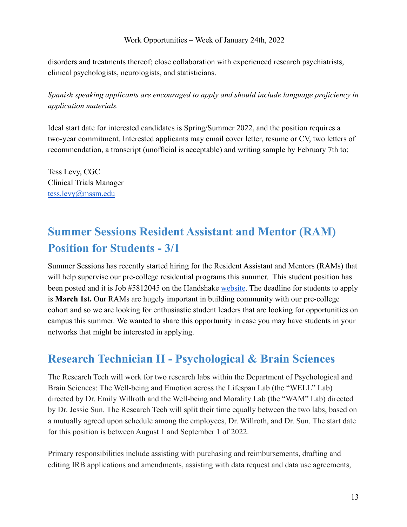disorders and treatments thereof; close collaboration with experienced research psychiatrists, clinical psychologists, neurologists, and statisticians.

*Spanish speaking applicants are encouraged to apply and should include language proficiency in application materials.*

Ideal start date for interested candidates is Spring/Summer 2022, and the position requires a two-year commitment. Interested applicants may email cover letter, resume or CV, two letters of recommendation, a transcript (unofficial is acceptable) and writing sample by February 7th to:

Tess Levy, CGC Clinical Trials Manager [tess.levy@mssm.edu](mailto:tess.levy@mssm.edu)

# <span id="page-12-0"></span>**Summer Sessions Resident Assistant and Mentor (RAM) Position for Students - 3/1**

Summer Sessions has recently started hiring for the Resident Assistant and Mentors (RAMs) that will help supervise our pre-college residential programs this summer. This student position has been posted and it is Job #5812045 on the Handshake [website](https://career.berkeley.edu/handshake). The deadline for students to apply is **March 1st.** Our RAMs are hugely important in building community with our pre-college cohort and so we are looking for enthusiastic student leaders that are looking for opportunities on campus this summer. We wanted to share this opportunity in case you may have students in your networks that might be interested in applying.

### <span id="page-12-1"></span>**Research Technician II - Psychological & Brain Sciences**

The Research Tech will work for two research labs within the Department of Psychological and Brain Sciences: The Well-being and Emotion across the Lifespan Lab (the "WELL" Lab) directed by Dr. Emily Willroth and the Well-being and Morality Lab (the "WAM" Lab) directed by Dr. Jessie Sun. The Research Tech will split their time equally between the two labs, based on a mutually agreed upon schedule among the employees, Dr. Willroth, and Dr. Sun. The start date for this position is between August 1 and September 1 of 2022.

Primary responsibilities include assisting with purchasing and reimbursements, drafting and editing IRB applications and amendments, assisting with data request and data use agreements,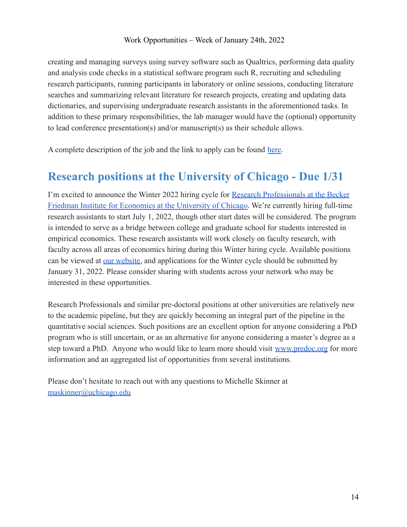creating and managing surveys using survey software such as Qualtrics, performing data quality and analysis code checks in a statistical software program such R, recruiting and scheduling research participants, running participants in laboratory or online sessions, conducting literature searches and summarizing relevant literature for research projects, creating and updating data dictionaries, and supervising undergraduate research assistants in the aforementioned tasks. In addition to these primary responsibilities, the lab manager would have the (optional) opportunity to lead conference presentation(s) and/or manuscript(s) as their schedule allows.

<span id="page-13-0"></span>A complete description of the job and the link to apply can be found [here](https://wustl.wd1.myworkdayjobs.com/en-US/External/job/Washington-University-Danforth-Campus/Research-Technician-II---Psychological---Brain-Sciences_JR64114).

### **Research positions at the University of Chicago - Due 1/31**

I'm excited to announce the Winter 2022 hiring cycle for [Research Professionals at the Becker](https://bfi.uchicago.edu/info-for/prep/) [Friedman Institute for Economics at the University of Chicago.](https://bfi.uchicago.edu/info-for/prep/) We're currently hiring full-time research assistants to start July 1, 2022, though other start dates will be considered. The program is intended to serve as a bridge between college and graduate school for students interested in empirical economics. These research assistants will work closely on faculty research, with faculty across all areas of economics hiring during this Winter hiring cycle. Available positions can be viewed at [our website,](https://bfi.uchicago.edu/predoctoral-research-opportunities/) and applications for the Winter cycle should be submitted by January 31, 2022. Please consider sharing with students across your network who may be interested in these opportunities.

Research Professionals and similar pre-doctoral positions at other universities are relatively new to the academic pipeline, but they are quickly becoming an integral part of the pipeline in the quantitative social sciences. Such positions are an excellent option for anyone considering a PhD program who is still uncertain, or as an alternative for anyone considering a master's degree as a step toward a PhD. Anyone who would like to learn more should visit [www.predoc.org](http://www.predoc.org/) for more information and an aggregated list of opportunities from several institutions.

Please don't hesitate to reach out with any questions to Michelle Skinner at [maskinner@uchicago.edu](mailto:maskinner@uchicago.edu)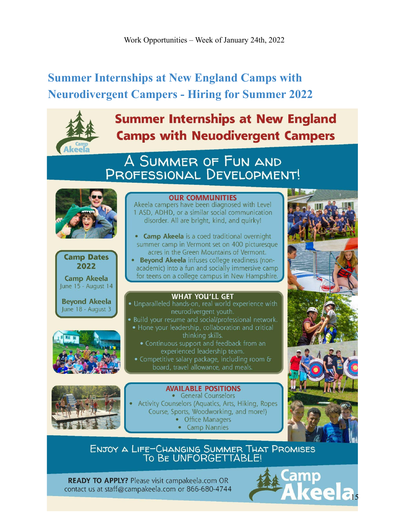# <span id="page-14-0"></span>**Summer Internships at New England Camps with Neurodivergent Campers - Hiring for Summer 2022**



# **Summer Internships at New England Camps with Neuodivergent Campers**

# A SUMMER OF FUN AND PROFESSIONAL DEVELOPMENT!

**OUR COMMUNITIES** Akeela campers have been diagnosed with Level





**Beyond Akeela** June 18 - August 3



• Beyond Akeela infuses college readiness (nonacademic) into a fun and socially immersive camp for teens on a college campus in New Hampshire.

#### **WHAT YOU'LL GET**

- · Unparalleled hands-on, real world experience with neurodivergent youth.
- · Build your resume and social/professional network.
- Hone your leadership, collaboration and critical thinking skills.
	- Continuous support and feedback from an experienced leadership team.
- Competitive salary package, including room & board, travel allowance, and meals.



**AVAILABLE POSITIONS** • General Counselors Activity Counselors (Aquatics, Arts, Hiking, Ropes Course, Sports, Woodworking, and more!) • Office Managers

• Camp Nannies



ENJOY A LIFE-CHANGING SUMMER THAT PROMISES TO BE UNFORGETTABLE!

**READY TO APPLY?** Please visit campakeela.com OR contact us at staff@campakeela.com or 866-680-4744